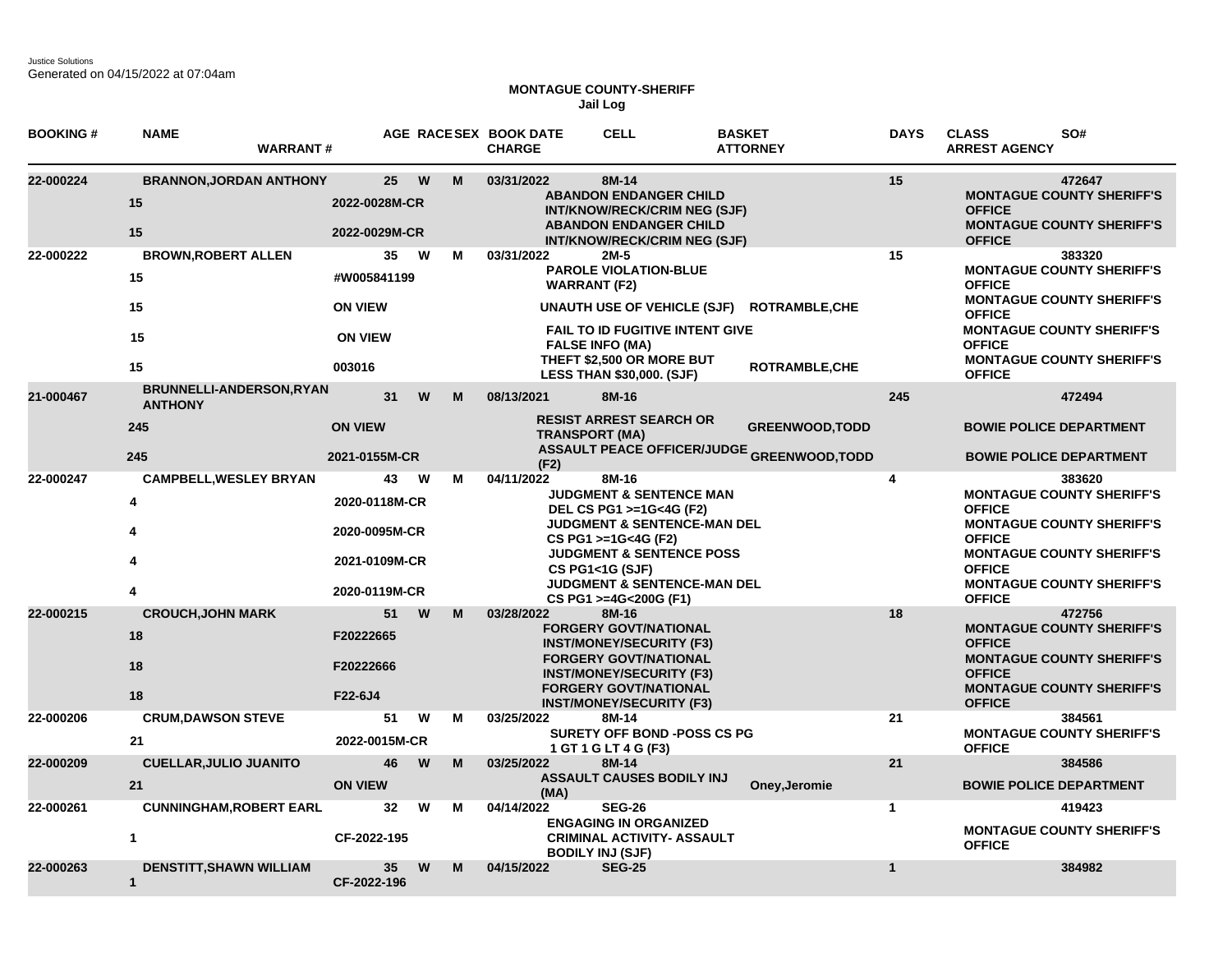## **MONTAGUE COUNTY-SHERIFF Jail Log**

| <b>BOOKING#</b> | <b>NAME</b><br><b>WARRANT#</b>                                             |                                                                        |   |        | AGE RACESEX BOOK DATE<br><b>CHARGE</b> | <b>CELL</b>                                                                                                                                                                                                                                               | <b>BASKET</b><br><b>ATTORNEY</b>                                            | <b>DAYS</b>  | <b>CLASS</b><br>SO#<br><b>ARREST AGENCY</b>                                                                                                                                                                                |
|-----------------|----------------------------------------------------------------------------|------------------------------------------------------------------------|---|--------|----------------------------------------|-----------------------------------------------------------------------------------------------------------------------------------------------------------------------------------------------------------------------------------------------------------|-----------------------------------------------------------------------------|--------------|----------------------------------------------------------------------------------------------------------------------------------------------------------------------------------------------------------------------------|
| 22-000224       | <b>BRANNON, JORDAN ANTHONY</b><br>15<br>15                                 | 25<br>2022-0028M-CR<br>2022-0029M-CR                                   |   | W<br>M | 03/31/2022                             | 8M-14<br><b>ABANDON ENDANGER CHILD</b><br>INT/KNOW/RECK/CRIM NEG (SJF)<br><b>ABANDON ENDANGER CHILD</b><br><b>INT/KNOW/RECK/CRIM NEG (SJF)</b>                                                                                                            |                                                                             | 15           | 472647<br><b>MONTAGUE COUNTY SHERIFF'S</b><br><b>OFFICE</b><br><b>MONTAGUE COUNTY SHERIFF'S</b><br><b>OFFICE</b>                                                                                                           |
| 22-000222       | <b>BROWN, ROBERT ALLEN</b><br>15<br>15<br>15<br>15                         | 35<br>#W005841199<br><b>ON VIEW</b><br><b>ON VIEW</b><br>003016        | W | M      | 03/31/2022                             | 2M-5<br>PAROLE VIOLATION-BLUE<br><b>WARRANT (F2)</b><br><b>UNAUTH USE OF VEHICLE (SJF)</b><br><b>FAIL TO ID FUGITIVE INTENT GIVE</b><br><b>FALSE INFO (MA)</b><br>THEFT \$2,500 OR MORE BUT<br><b>LESS THAN \$30,000. (SJF)</b>                           | <b>ROTRAMBLE, CHE</b><br>ROTRAMBLE, CHE                                     | 15           | 383320<br><b>MONTAGUE COUNTY SHERIFF'S</b><br><b>OFFICE</b><br><b>MONTAGUE COUNTY SHERIFF'S</b><br><b>OFFICE</b><br><b>MONTAGUE COUNTY SHERIFF'S</b><br><b>OFFICE</b><br><b>MONTAGUE COUNTY SHERIFF'S</b><br><b>OFFICE</b> |
| 21-000467       | <b>BRUNNELLI-ANDERSON, RYAN</b><br><b>ANTHONY</b><br>245<br>245            | 31<br><b>ON VIEW</b><br>2021-0155M-CR                                  |   | W<br>M | 08/13/2021<br>(F2)                     | 8M-16<br><b>RESIST ARREST SEARCH OR</b><br><b>TRANSPORT (MA)</b>                                                                                                                                                                                          | <b>GREENWOOD, TODD</b><br><b>ASSAULT PEACE OFFICER/JUDGE GREENWOOD,TODD</b> | 245          | 472494<br><b>BOWIE POLICE DEPARTMENT</b><br><b>BOWIE POLICE DEPARTMENT</b>                                                                                                                                                 |
| 22-000247       | <b>CAMPBELL, WESLEY BRYAN</b><br>$\overline{\mathbf{4}}$<br>$\overline{4}$ | 43<br>2020-0118M-CR<br>2020-0095M-CR<br>2021-0109M-CR<br>2020-0119M-CR | W | М      | 04/11/2022                             | 8M-16<br><b>JUDGMENT &amp; SENTENCE MAN</b><br>DEL CS PG1 >=1G<4G (F2)<br>JUDGMENT & SENTENCE-MAN DEL<br>CS PG1 >=1G<4G (F2)<br><b>JUDGMENT &amp; SENTENCE POSS</b><br>CS PG1<1G (SJF)<br><b>JUDGMENT &amp; SENTENCE-MAN DEL</b><br>CS PG1 >=4G<200G (F1) |                                                                             | 4            | 383620<br><b>MONTAGUE COUNTY SHERIFF'S</b><br><b>OFFICE</b><br><b>MONTAGUE COUNTY SHERIFF'S</b><br><b>OFFICE</b><br><b>MONTAGUE COUNTY SHERIFF'S</b><br><b>OFFICE</b><br><b>MONTAGUE COUNTY SHERIFF'S</b><br><b>OFFICE</b> |
| 22-000215       | <b>CROUCH, JOHN MARK</b><br>18<br>18<br>18                                 | 51<br>F20222665<br>F20222666<br>F22-6J4                                |   | W<br>M | 03/28/2022                             | 8M-16<br><b>FORGERY GOVT/NATIONAL</b><br><b>INST/MONEY/SECURITY (F3)</b><br><b>FORGERY GOVT/NATIONAL</b><br><b>INST/MONEY/SECURITY (F3)</b><br><b>FORGERY GOVT/NATIONAL</b><br><b>INST/MONEY/SECURITY (F3)</b>                                            |                                                                             | 18           | 472756<br><b>MONTAGUE COUNTY SHERIFF'S</b><br><b>OFFICE</b><br><b>MONTAGUE COUNTY SHERIFF'S</b><br><b>OFFICE</b><br><b>MONTAGUE COUNTY SHERIFF'S</b><br><b>OFFICE</b>                                                      |
| 22-000206       | <b>CRUM, DAWSON STEVE</b><br>21                                            | 51<br>2022-0015M-CR                                                    |   | W<br>M | 03/25/2022                             | 8M-14<br><b>SURETY OFF BOND -POSS CS PG</b><br>1 GT 1 G LT 4 G (F3)                                                                                                                                                                                       |                                                                             | 21           | 384561<br><b>MONTAGUE COUNTY SHERIFF'S</b><br><b>OFFICE</b>                                                                                                                                                                |
| 22-000209       | <b>CUELLAR, JULIO JUANITO</b><br>21                                        | 46<br><b>ON VIEW</b>                                                   |   | M<br>W | 03/25/2022<br>(MA)                     | 8M-14<br><b>ASSAULT CAUSES BODILY INJ</b>                                                                                                                                                                                                                 | Oney, Jeromie                                                               | 21           | 384586<br><b>BOWIE POLICE DEPARTMENT</b>                                                                                                                                                                                   |
| 22-000261       | <b>CUNNINGHAM, ROBERT EARL</b><br>$\mathbf{1}$                             | 32<br>CF-2022-195                                                      |   | W<br>м | 04/14/2022                             | <b>SEG-26</b><br><b>ENGAGING IN ORGANIZED</b><br><b>CRIMINAL ACTIVITY- ASSAULT</b><br><b>BODILY INJ (SJF)</b>                                                                                                                                             |                                                                             | $\mathbf{1}$ | 419423<br><b>MONTAGUE COUNTY SHERIFF'S</b><br><b>OFFICE</b>                                                                                                                                                                |
| 22-000263       | DENSTITT, SHAWN WILLIAM<br>$\mathbf{1}$                                    | 35 <sub>5</sub><br>CF-2022-196                                         |   | W<br>M | 04/15/2022                             | <b>SEG-25</b>                                                                                                                                                                                                                                             |                                                                             | $\mathbf{1}$ | 384982                                                                                                                                                                                                                     |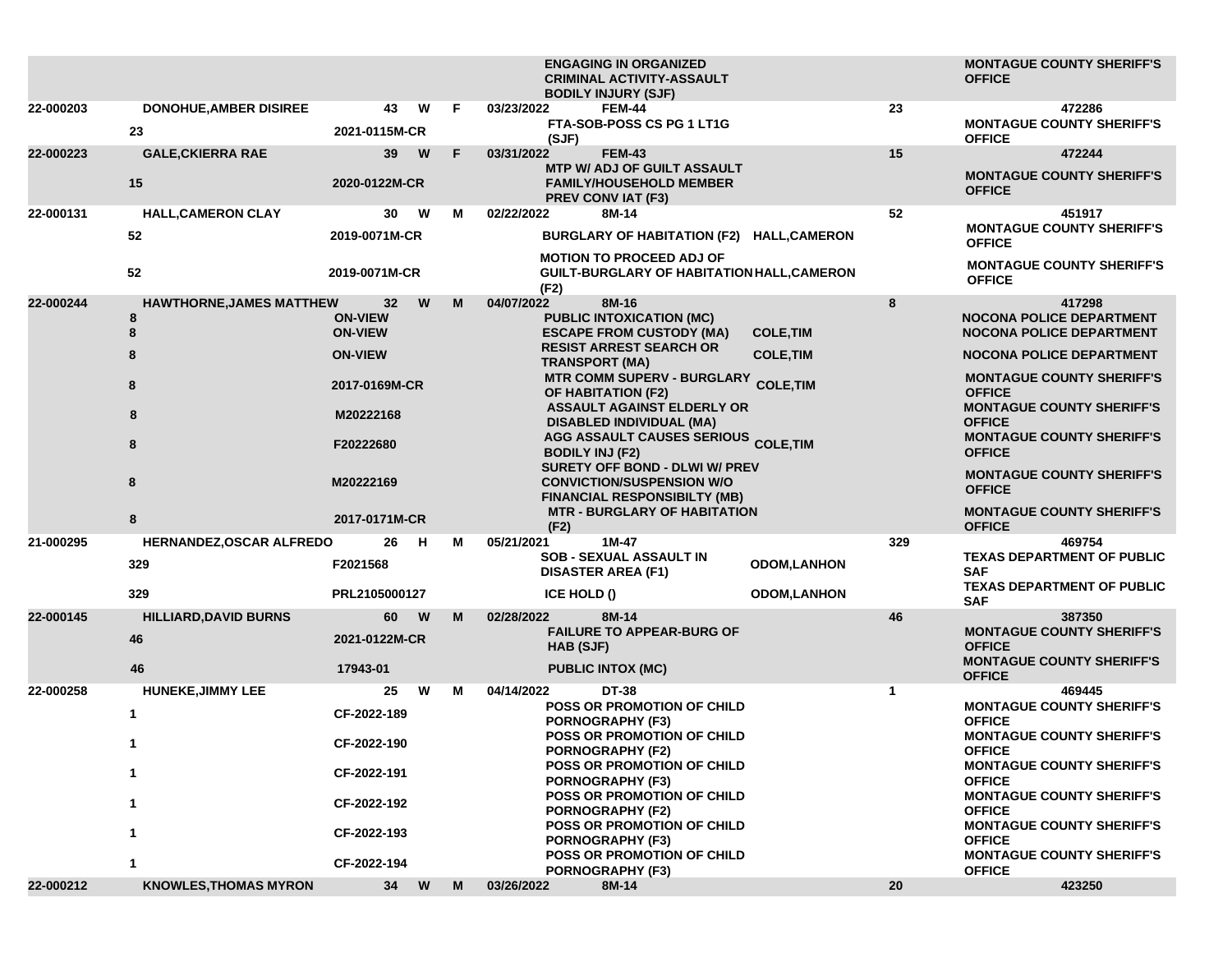|           |                                                                         |                                                                                                                                   |         | <b>ENGAGING IN ORGANIZED</b><br><b>CRIMINAL ACTIVITY-ASSAULT</b><br><b>BODILY INJURY (SJF)</b>                                                                                                                                                                                                                                                                                                                                                                                                                                       |                                                               | <b>MONTAGUE COUNTY SHERIFF'S</b><br><b>OFFICE</b>                                                                                                                                                                                                                                                                                                                                                         |
|-----------|-------------------------------------------------------------------------|-----------------------------------------------------------------------------------------------------------------------------------|---------|--------------------------------------------------------------------------------------------------------------------------------------------------------------------------------------------------------------------------------------------------------------------------------------------------------------------------------------------------------------------------------------------------------------------------------------------------------------------------------------------------------------------------------------|---------------------------------------------------------------|-----------------------------------------------------------------------------------------------------------------------------------------------------------------------------------------------------------------------------------------------------------------------------------------------------------------------------------------------------------------------------------------------------------|
| 22-000203 | <b>DONOHUE, AMBER DISIREE</b><br>23                                     | 43<br>2021-0115M-CR                                                                                                               | W<br>E  | 03/23/2022<br><b>FEM-44</b><br>FTA-SOB-POSS CS PG 1 LT1G<br>(SJF)                                                                                                                                                                                                                                                                                                                                                                                                                                                                    | 23                                                            | 472286<br><b>MONTAGUE COUNTY SHERIFF'S</b><br><b>OFFICE</b>                                                                                                                                                                                                                                                                                                                                               |
| 22-000223 | <b>GALE, CKIERRA RAE</b><br>15                                          | 39<br>2020-0122M-CR                                                                                                               | F.<br>W | 03/31/2022<br><b>FEM-43</b><br><b>MTP W/ ADJ OF GUILT ASSAULT</b><br><b>FAMILY/HOUSEHOLD MEMBER</b><br><b>PREV CONVIAT (F3)</b>                                                                                                                                                                                                                                                                                                                                                                                                      | 15                                                            | 472244<br><b>MONTAGUE COUNTY SHERIFF'S</b><br><b>OFFICE</b>                                                                                                                                                                                                                                                                                                                                               |
| 22-000131 | <b>HALL, CAMERON CLAY</b><br>52<br>52                                   | 30<br>2019-0071M-CR<br>2019-0071M-CR                                                                                              | W<br>М  | 02/22/2022<br>8M-14<br>BURGLARY OF HABITATION (F2) HALL, CAMERON<br><b>MOTION TO PROCEED ADJ OF</b><br><b>GUILT-BURGLARY OF HABITATION HALL, CAMERON</b>                                                                                                                                                                                                                                                                                                                                                                             | 52                                                            | 451917<br><b>MONTAGUE COUNTY SHERIFF'S</b><br><b>OFFICE</b><br><b>MONTAGUE COUNTY SHERIFF'S</b>                                                                                                                                                                                                                                                                                                           |
| 22-000244 | <b>HAWTHORNE, JAMES MATTHEW</b><br>8<br>8<br>8<br>8<br>8<br>8<br>8<br>8 | 32<br><b>ON-VIEW</b><br><b>ON-VIEW</b><br><b>ON-VIEW</b><br>2017-0169M-CR<br>M20222168<br>F20222680<br>M20222169<br>2017-0171M-CR | M<br>W  | (F2)<br>04/07/2022<br>8M-16<br><b>PUBLIC INTOXICATION (MC)</b><br><b>ESCAPE FROM CUSTODY (MA)</b><br><b>RESIST ARREST SEARCH OR</b><br><b>TRANSPORT (MA)</b><br><b>MTR COMM SUPERV - BURGLARY</b><br><b>OF HABITATION (F2)</b><br><b>ASSAULT AGAINST ELDERLY OR</b><br><b>DISABLED INDIVIDUAL (MA)</b><br>AGG ASSAULT CAUSES SERIOUS COLE, TIM<br><b>BODILY INJ (F2)</b><br>SURETY OFF BOND - DLWI W/ PREV<br><b>CONVICTION/SUSPENSION W/O</b><br><b>FINANCIAL RESPONSIBILTY (MB)</b><br><b>MTR - BURGLARY OF HABITATION</b><br>(F2) | 8<br><b>COLE, TIM</b><br><b>COLE, TIM</b><br><b>COLE, TIM</b> | <b>OFFICE</b><br>417298<br><b>NOCONA POLICE DEPARTMENT</b><br><b>NOCONA POLICE DEPARTMENT</b><br><b>NOCONA POLICE DEPARTMENT</b><br><b>MONTAGUE COUNTY SHERIFF'S</b><br><b>OFFICE</b><br><b>MONTAGUE COUNTY SHERIFF'S</b><br><b>OFFICE</b><br><b>MONTAGUE COUNTY SHERIFF'S</b><br><b>OFFICE</b><br><b>MONTAGUE COUNTY SHERIFF'S</b><br><b>OFFICE</b><br><b>MONTAGUE COUNTY SHERIFF'S</b><br><b>OFFICE</b> |
| 21-000295 | HERNANDEZ, OSCAR ALFREDO<br>329<br>329                                  | 26<br>F2021568<br>PRL2105000127                                                                                                   | н<br>м  | 05/21/2021<br>1M-47<br><b>SOB - SEXUAL ASSAULT IN</b><br><b>DISASTER AREA (F1)</b><br>ICE HOLD ()                                                                                                                                                                                                                                                                                                                                                                                                                                    | 329<br><b>ODOM,LANHON</b><br><b>ODOM,LANHON</b>               | 469754<br><b>TEXAS DEPARTMENT OF PUBLIC</b><br><b>SAF</b><br><b>TEXAS DEPARTMENT OF PUBLIC</b><br><b>SAF</b>                                                                                                                                                                                                                                                                                              |
| 22-000145 | <b>HILLIARD, DAVID BURNS</b><br>46<br>46                                | 60<br>2021-0122M-CR<br>17943-01                                                                                                   | M<br>W  | 02/28/2022<br>8M-14<br><b>FAILURE TO APPEAR-BURG OF</b><br>HAB (SJF)<br><b>PUBLIC INTOX (MC)</b>                                                                                                                                                                                                                                                                                                                                                                                                                                     | 46                                                            | 387350<br><b>MONTAGUE COUNTY SHERIFF'S</b><br><b>OFFICE</b><br><b>MONTAGUE COUNTY SHERIFF'S</b><br><b>OFFICE</b>                                                                                                                                                                                                                                                                                          |
| 22-000258 | <b>HUNEKE, JIMMY LEE</b><br>1<br>1<br>1<br>1<br>1<br>1                  | 25<br>CF-2022-189<br>CF-2022-190<br>CF-2022-191<br>CF-2022-192<br>CF-2022-193<br>CF-2022-194                                      | W<br>М  | 04/14/2022<br><b>DT-38</b><br><b>POSS OR PROMOTION OF CHILD</b><br><b>PORNOGRAPHY (F3)</b><br><b>POSS OR PROMOTION OF CHILD</b><br><b>PORNOGRAPHY (F2)</b><br>POSS OR PROMOTION OF CHILD<br><b>PORNOGRAPHY (F3)</b><br><b>POSS OR PROMOTION OF CHILD</b><br><b>PORNOGRAPHY (F2)</b><br><b>POSS OR PROMOTION OF CHILD</b><br>PORNOGRAPHY (F3)<br>POSS OR PROMOTION OF CHILD<br><b>PORNOGRAPHY (F3)</b>                                                                                                                                | $\mathbf 1$                                                   | 469445<br><b>MONTAGUE COUNTY SHERIFF'S</b><br><b>OFFICE</b><br><b>MONTAGUE COUNTY SHERIFF'S</b><br><b>OFFICE</b><br><b>MONTAGUE COUNTY SHERIFF'S</b><br><b>OFFICE</b><br><b>MONTAGUE COUNTY SHERIFF'S</b><br><b>OFFICE</b><br><b>MONTAGUE COUNTY SHERIFF'S</b><br><b>OFFICE</b><br><b>MONTAGUE COUNTY SHERIFF'S</b><br><b>OFFICE</b>                                                                      |
| 22-000212 | <b>KNOWLES, THOMAS MYRON</b>                                            | 34                                                                                                                                | W<br>M  | 03/26/2022<br>8M-14                                                                                                                                                                                                                                                                                                                                                                                                                                                                                                                  | 20                                                            | 423250                                                                                                                                                                                                                                                                                                                                                                                                    |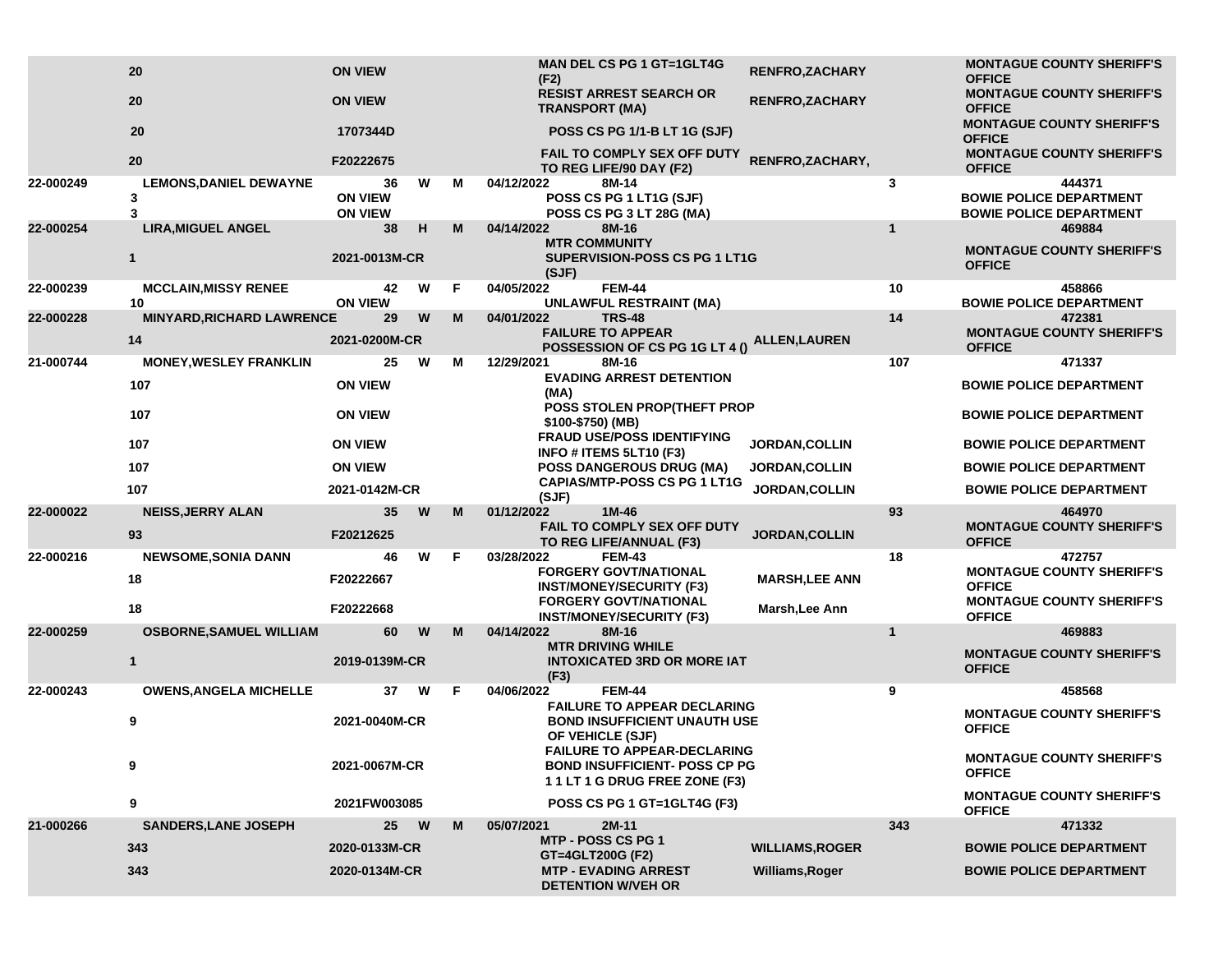|           | 20                                      | <b>ON VIEW</b>                         |   |    | <b>MAN DEL CS PG 1 GT=1GLT4G</b><br>(F2)                                                                     | <b>RENFRO,ZACHARY</b>  |                                                   | <b>MONTAGUE COUNTY SHERIFF'S</b><br><b>OFFICE</b>                          |
|-----------|-----------------------------------------|----------------------------------------|---|----|--------------------------------------------------------------------------------------------------------------|------------------------|---------------------------------------------------|----------------------------------------------------------------------------|
|           | 20                                      | <b>ON VIEW</b>                         |   |    | <b>RESIST ARREST SEARCH OR</b><br><b>TRANSPORT (MA)</b>                                                      | <b>RENFRO,ZACHARY</b>  |                                                   | <b>MONTAGUE COUNTY SHERIFF'S</b><br><b>OFFICE</b>                          |
|           | 20                                      | 1707344D                               |   |    | POSS CS PG 1/1-B LT 1G (SJF)                                                                                 |                        |                                                   | <b>MONTAGUE COUNTY SHERIFF'S</b><br><b>OFFICE</b>                          |
|           | 20                                      | F20222675                              |   |    | FAIL TO COMPLY SEX OFF DUTY<br>TO REG LIFE/90 DAY (F2)                                                       | RENFRO, ZACHARY,       |                                                   | <b>MONTAGUE COUNTY SHERIFF'S</b><br><b>OFFICE</b>                          |
| 22-000249 | <b>LEMONS, DANIEL DEWAYNE</b><br>3<br>3 | 36<br><b>ON VIEW</b><br><b>ON VIEW</b> | W | м  | 04/12/2022<br>8M-14<br>POSS CS PG 1 LT1G (SJF)<br>POSS CS PG 3 LT 28G (MA)                                   |                        | 3                                                 | 444371<br><b>BOWIE POLICE DEPARTMENT</b><br><b>BOWIE POLICE DEPARTMENT</b> |
| 22-000254 | <b>LIRA, MIGUEL ANGEL</b>               | 38                                     | н | M  | 04/14/2022<br>8M-16                                                                                          |                        | $\mathbf{1}$                                      | 469884                                                                     |
|           | $\mathbf{1}$                            | 2021-0013M-CR                          |   |    | <b>MTR COMMUNITY</b><br>SUPERVISION-POSS CS PG 1 LT1G<br>(SJF)                                               |                        |                                                   | <b>MONTAGUE COUNTY SHERIFF'S</b><br><b>OFFICE</b>                          |
| 22-000239 | <b>MCCLAIN, MISSY RENEE</b>             | 42                                     | W | F. | 04/05/2022<br><b>FEM-44</b>                                                                                  |                        | 10                                                | 458866                                                                     |
| 22-000228 | 10<br><b>MINYARD, RICHARD LAWRENCE</b>  | <b>ON VIEW</b><br>29                   | W | M  | <b>UNLAWFUL RESTRAINT (MA)</b><br>04/01/2022<br><b>TRS-48</b>                                                |                        | 14                                                | <b>BOWIE POLICE DEPARTMENT</b><br>472381                                   |
|           | 14                                      | 2021-0200M-CR                          |   |    | <b>FAILURE TO APPEAR</b><br>POSSESSION OF CS PG 1G LT 4 ()                                                   | <b>ALLEN,LAUREN</b>    |                                                   | <b>MONTAGUE COUNTY SHERIFF'S</b><br><b>OFFICE</b>                          |
| 21-000744 | <b>MONEY, WESLEY FRANKLIN</b><br>107    | 25<br><b>ON VIEW</b>                   | W | м  | 8M-16<br>12/29/2021<br><b>EVADING ARREST DETENTION</b><br>(MA)                                               |                        | 107                                               | 471337<br><b>BOWIE POLICE DEPARTMENT</b>                                   |
|           | 107                                     | <b>ON VIEW</b>                         |   |    | POSS STOLEN PROP(THEFT PROP<br>\$100-\$750) (MB)                                                             |                        |                                                   | <b>BOWIE POLICE DEPARTMENT</b>                                             |
|           | 107                                     | <b>ON VIEW</b>                         |   |    | <b>FRAUD USE/POSS IDENTIFYING</b><br>INFO # ITEMS 5LT10 (F3)                                                 | JORDAN, COLLIN         |                                                   | <b>BOWIE POLICE DEPARTMENT</b>                                             |
|           | 107                                     | <b>ON VIEW</b>                         |   |    | <b>POSS DANGEROUS DRUG (MA)</b>                                                                              | <b>JORDAN, COLLIN</b>  |                                                   | <b>BOWIE POLICE DEPARTMENT</b>                                             |
|           | 107                                     | 2021-0142M-CR                          |   |    | <b>CAPIAS/MTP-POSS CS PG 1 LT1G</b><br>(SJF)                                                                 | <b>JORDAN, COLLIN</b>  |                                                   | <b>BOWIE POLICE DEPARTMENT</b>                                             |
| 22-000022 | <b>NEISS, JERRY ALAN</b><br>93          | 35 <sub>5</sub><br>F20212625           | W | M  | 01/12/2022<br>1M-46<br>FAIL TO COMPLY SEX OFF DUTY<br>TO REG LIFE/ANNUAL (F3)                                | JORDAN, COLLIN         | 93                                                | 464970<br><b>MONTAGUE COUNTY SHERIFF'S</b><br><b>OFFICE</b>                |
| 22-000216 | <b>NEWSOME, SONIA DANN</b>              | 46                                     | W | F  | 03/28/2022<br><b>FEM-43</b>                                                                                  |                        | 18                                                | 472757                                                                     |
|           | 18                                      | F20222667                              |   |    | <b>FORGERY GOVT/NATIONAL</b><br><b>INST/MONEY/SECURITY (F3)</b>                                              | <b>MARSH, LEE ANN</b>  |                                                   | <b>MONTAGUE COUNTY SHERIFF'S</b><br><b>OFFICE</b>                          |
|           | 18                                      | F20222668                              |   |    | <b>FORGERY GOVT/NATIONAL</b><br><b>INST/MONEY/SECURITY (F3)</b>                                              | Marsh, Lee Ann         |                                                   | <b>MONTAGUE COUNTY SHERIFF'S</b><br><b>OFFICE</b>                          |
| 22-000259 | <b>OSBORNE, SAMUEL WILLIAM</b>          | 60                                     | W | M  | 8M-16<br>04/14/2022                                                                                          |                        | $\mathbf{1}$                                      | 469883                                                                     |
|           | $\mathbf{1}$                            | 2019-0139M-CR                          |   |    | <b>MTR DRIVING WHILE</b><br><b>INTOXICATED 3RD OR MORE IAT</b><br>(F3)                                       |                        |                                                   | <b>MONTAGUE COUNTY SHERIFF'S</b><br><b>OFFICE</b>                          |
| 22-000243 | <b>OWENS, ANGELA MICHELLE</b>           | 37                                     | W | F  | 04/06/2022<br><b>FEM-44</b>                                                                                  |                        | 9                                                 | 458568                                                                     |
|           | 9                                       | 2021-0040M-CR<br>2021-0067M-CR         |   |    | <b>FAILURE TO APPEAR DECLARING</b><br><b>BOND INSUFFICIENT UNAUTH USE</b><br>OF VEHICLE (SJF)                |                        | <b>MONTAGUE COUNTY SHERIFF'S</b><br><b>OFFICE</b> |                                                                            |
|           | 9                                       |                                        |   |    | <b>FAILURE TO APPEAR-DECLARING</b><br><b>BOND INSUFFICIENT- POSS CP PG</b><br>1 1 LT 1 G DRUG FREE ZONE (F3) |                        | <b>MONTAGUE COUNTY SHERIFF'S</b><br><b>OFFICE</b> |                                                                            |
|           | 9                                       | 2021FW003085                           |   |    | POSS CS PG 1 GT=1GLT4G (F3)                                                                                  |                        |                                                   | <b>MONTAGUE COUNTY SHERIFF'S</b><br><b>OFFICE</b>                          |
| 21-000266 | <b>SANDERS, LANE JOSEPH</b>             | 25 W                                   |   | M  | 2M-11<br>05/07/2021                                                                                          |                        | 343                                               | 471332                                                                     |
|           | 343                                     | 2020-0133M-CR                          |   |    | MTP - POSS CS PG 1<br>GT=4GLT200G (F2)                                                                       | <b>WILLIAMS, ROGER</b> |                                                   | <b>BOWIE POLICE DEPARTMENT</b>                                             |
|           | 343                                     | 2020-0134M-CR                          |   |    | <b>MTP - EVADING ARREST</b><br><b>DETENTION W/VEH OR</b>                                                     | Williams, Roger        |                                                   | <b>BOWIE POLICE DEPARTMENT</b>                                             |